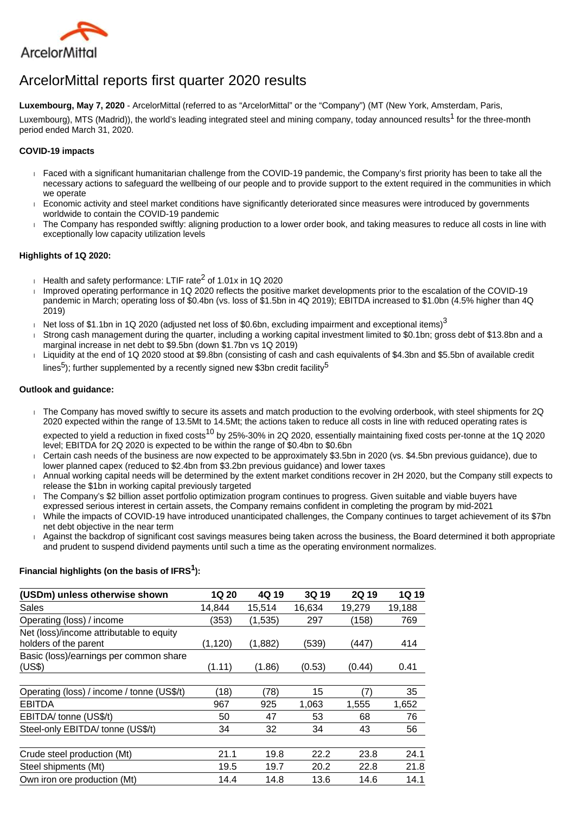

# ArcelorMittal reports first quarter 2020 results

**Luxembourg, May 7, 2020** - ArcelorMittal (referred to as "ArcelorMittal" or the "Company") (MT (New York, Amsterdam, Paris,

Luxembourg), MTS (Madrid)), the world's leading integrated steel and mining company, today announced results<sup>1</sup> for the three-month period ended March 31, 2020.

# **COVID-19 impacts**

- Faced with a significant humanitarian challenge from the COVID-19 pandemic, the Company's first priority has been to take all the necessary actions to safeguard the wellbeing of our people and to provide support to the extent required in the communities in which we operate
- Economic activity and steel market conditions have significantly deteriorated since measures were introduced by governments worldwide to contain the COVID-19 pandemic
- The Company has responded swiftly: aligning production to a lower order book, and taking measures to reduce all costs in line with exceptionally low capacity utilization levels

# **Highlights of 1Q 2020:**

- Health and safety performance: LTIF rate<sup>2</sup> of 1.01x in 1Q 2020
- Improved operating performance in 1Q 2020 reflects the positive market developments prior to the escalation of the COVID-19 pandemic in March; operating loss of \$0.4bn (vs. loss of \$1.5bn in 4Q 2019); EBITDA increased to \$1.0bn (4.5% higher than 4Q 2019)
- Net loss of \$1.1bn in 1Q 2020 (adjusted net loss of \$0.6bn, excluding impairment and exceptional items)<sup>3</sup>
- Strong cash management during the quarter, including a working capital investment limited to \$0.1bn; gross debt of \$13.8bn and a marginal increase in net debt to \$9.5bn (down \$1.7bn vs 1Q 2019)
- Liquidity at the end of 1Q 2020 stood at \$9.8bn (consisting of cash and cash equivalents of \$4.3bn and \$5.5bn of available credit lines<sup>5</sup>); further supplemented by a recently signed new \$3bn credit facility<sup>5</sup>

# **Outlook and guidance:**

- The Company has moved swiftly to secure its assets and match production to the evolving orderbook, with steel shipments for 2Q 2020 expected within the range of 13.5Mt to 14.5Mt; the actions taken to reduce all costs in line with reduced operating rates is expected to yield a reduction in fixed costs<sup>10</sup> by 25%-30% in 2Q 2020, essentially maintaining fixed costs per-tonne at the 1Q 2020 level; EBITDA for 2Q 2020 is expected to be within the range of \$0.4bn to \$0.6bn
- Certain cash needs of the business are now expected to be approximately \$3.5bn in 2020 (vs. \$4.5bn previous guidance), due to lower planned capex (reduced to \$2.4bn from \$3.2bn previous guidance) and lower taxes
- Annual working capital needs will be determined by the extent market conditions recover in 2H 2020, but the Company still expects to release the \$1bn in working capital previously targeted
- The Company's \$2 billion asset portfolio optimization program continues to progress. Given suitable and viable buyers have expressed serious interest in certain assets, the Company remains confident in completing the program by mid-2021
- While the impacts of COVID-19 have introduced unanticipated challenges, the Company continues to target achievement of its \$7bn net debt objective in the near term
- Against the backdrop of significant cost savings measures being taken across the business, the Board determined it both appropriate and prudent to suspend dividend payments until such a time as the operating environment normalizes.

# **Financial highlights (on the basis of IFRS<sup>1</sup> ):**

| 1Q 20   | 4Q 19   | 3Q 19  | <b>2Q 19</b>      | 1Q 19  |
|---------|---------|--------|-------------------|--------|
| 14,844  | 15,514  | 16,634 | 19,279            | 19,188 |
| (353)   | (1,535) | 297    | (158)             | 769    |
| (1,120) | (1,882) | (539)  | (447)             | 414    |
| (1.11)  | (1.86)  | (0.53) | (0.44)            | 0.41   |
| (18)    | (78)    | 15     | $\left( 7\right)$ | 35     |
| 967     | 925     | 1,063  | 1,555             | 1,652  |
| 50      | 47      | 53     | 68                | 76     |
| 34      | 32      | 34     | 43                | 56     |
| 21.1    | 19.8    | 22.2   | 23.8              | 24.1   |
| 19.5    | 19.7    | 20.2   | 22.8              | 21.8   |
| 14.4    | 14.8    | 13.6   | 14.6              | 14.1   |
|         |         |        |                   |        |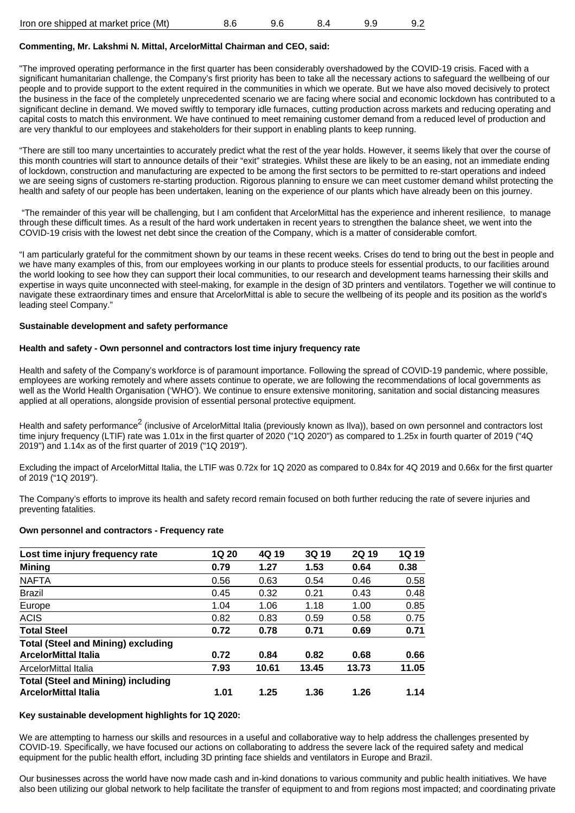| Iron ore shipped at market price (Mt) |  |  | 9.2 |
|---------------------------------------|--|--|-----|
|                                       |  |  |     |

# **Commenting, Mr. Lakshmi N. Mittal, ArcelorMittal Chairman and CEO, said:**

"The improved operating performance in the first quarter has been considerably overshadowed by the COVID-19 crisis. Faced with a significant humanitarian challenge, the Company's first priority has been to take all the necessary actions to safeguard the wellbeing of our people and to provide support to the extent required in the communities in which we operate. But we have also moved decisively to protect the business in the face of the completely unprecedented scenario we are facing where social and economic lockdown has contributed to a significant decline in demand. We moved swiftly to temporary idle furnaces, cutting production across markets and reducing operating and capital costs to match this environment. We have continued to meet remaining customer demand from a reduced level of production and are very thankful to our employees and stakeholders for their support in enabling plants to keep running.

"There are still too many uncertainties to accurately predict what the rest of the year holds. However, it seems likely that over the course of this month countries will start to announce details of their "exit" strategies. Whilst these are likely to be an easing, not an immediate ending of lockdown, construction and manufacturing are expected to be among the first sectors to be permitted to re-start operations and indeed we are seeing signs of customers re-starting production. Rigorous planning to ensure we can meet customer demand whilst protecting the health and safety of our people has been undertaken, leaning on the experience of our plants which have already been on this journey.

"The remainder of this year will be challenging, but I am confident that ArcelorMittal has the experience and inherent resilience, to manage through these difficult times. As a result of the hard work undertaken in recent years to strengthen the balance sheet, we went into the COVID-19 crisis with the lowest net debt since the creation of the Company, which is a matter of considerable comfort.

"I am particularly grateful for the commitment shown by our teams in these recent weeks. Crises do tend to bring out the best in people and we have many examples of this, from our employees working in our plants to produce steels for essential products, to our facilities around the world looking to see how they can support their local communities, to our research and development teams harnessing their skills and expertise in ways quite unconnected with steel-making, for example in the design of 3D printers and ventilators. Together we will continue to navigate these extraordinary times and ensure that ArcelorMittal is able to secure the wellbeing of its people and its position as the world's leading steel Company."

#### **Sustainable development and safety performance**

#### **Health and safety - Own personnel and contractors lost time injury frequency rate**

Health and safety of the Company's workforce is of paramount importance. Following the spread of COVID-19 pandemic, where possible, employees are working remotely and where assets continue to operate, we are following the recommendations of local governments as well as the World Health Organisation ('WHO'). We continue to ensure extensive monitoring, sanitation and social distancing measures applied at all operations, alongside provision of essential personal protective equipment.

Health and safety performance<sup>2</sup> (inclusive of ArcelorMittal Italia (previously known as Ilva)), based on own personnel and contractors lost time injury frequency (LTIF) rate was 1.01x in the first quarter of 2020 ("1Q 2020") as compared to 1.25x in fourth quarter of 2019 ("4Q 2019") and 1.14x as of the first quarter of 2019 ("1Q 2019").

Excluding the impact of ArcelorMittal Italia, the LTIF was 0.72x for 1Q 2020 as compared to 0.84x for 4Q 2019 and 0.66x for the first quarter of 2019 ("1Q 2019").

The Company's efforts to improve its health and safety record remain focused on both further reducing the rate of severe injuries and preventing fatalities.

#### **Own personnel and contractors - Frequency rate**

| Lost time injury frequency rate                                          | <b>1Q 20</b> | 4Q 19 | 3Q 19 | 2Q 19 | 1Q 19 |
|--------------------------------------------------------------------------|--------------|-------|-------|-------|-------|
| <b>Mining</b>                                                            | 0.79         | 1.27  | 1.53  | 0.64  | 0.38  |
| <b>NAFTA</b>                                                             | 0.56         | 0.63  | 0.54  | 0.46  | 0.58  |
| <b>Brazil</b>                                                            | 0.45         | 0.32  | 0.21  | 0.43  | 0.48  |
| Europe                                                                   | 1.04         | 1.06  | 1.18  | 1.00  | 0.85  |
| <b>ACIS</b>                                                              | 0.82         | 0.83  | 0.59  | 0.58  | 0.75  |
| <b>Total Steel</b>                                                       | 0.72         | 0.78  | 0.71  | 0.69  | 0.71  |
| <b>Total (Steel and Mining) excluding</b><br><b>ArcelorMittal Italia</b> | 0.72         | 0.84  | 0.82  | 0.68  | 0.66  |
| ArcelorMittal Italia                                                     | 7.93         | 10.61 | 13.45 | 13.73 | 11.05 |
| <b>Total (Steel and Mining) including</b><br><b>ArcelorMittal Italia</b> | 1.01         | 1.25  | 1.36  | 1.26  | 1.14  |

#### **Key sustainable development highlights for 1Q 2020:**

We are attempting to harness our skills and resources in a useful and collaborative way to help address the challenges presented by COVID-19. Specifically, we have focused our actions on collaborating to address the severe lack of the required safety and medical equipment for the public health effort, including 3D printing face shields and ventilators in Europe and Brazil.

Our businesses across the world have now made cash and in-kind donations to various community and public health initiatives. We have also been utilizing our global network to help facilitate the transfer of equipment to and from regions most impacted; and coordinating private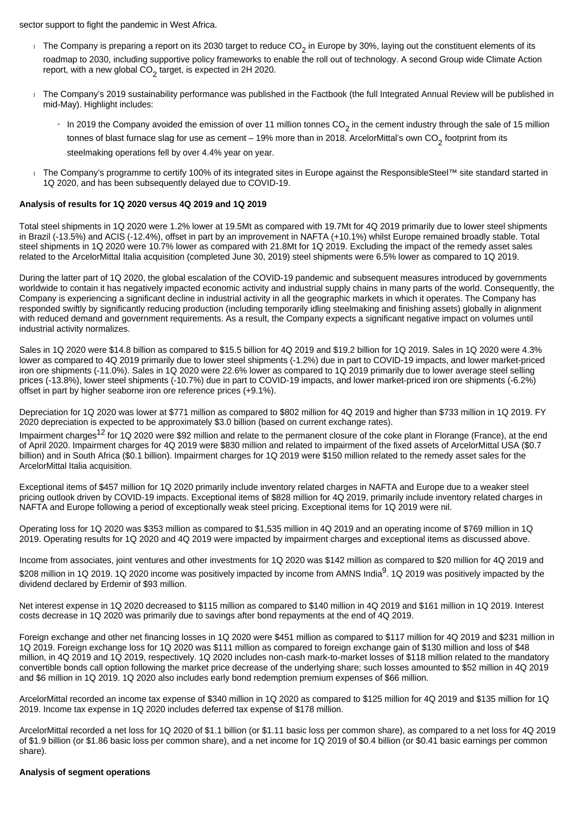sector support to fight the pandemic in West Africa.

- $\blacksquare$  The Company is preparing a report on its 2030 target to reduce CO<sub>2</sub> in Europe by 30%, laying out the constituent elements of its roadmap to 2030, including supportive policy frameworks to enable the roll out of technology. A second Group wide Climate Action report, with a new global CO<sub>2</sub> target, is expected in 2H 2020.
- The Company's 2019 sustainability performance was published in the Factbook (the full Integrated Annual Review will be published in mid-May). Highlight includes:
	- $_1$  In 2019 the Company avoided the emission of over 11 million tonnes CO<sub>2</sub> in the cement industry through the sale of 15 million tonnes of blast furnace slag for use as cement – 19% more than in 2018. ArcelorMittal's own CO<sub>2</sub> footprint from its steelmaking operations fell by over 4.4% year on year.
- The Company's programme to certify 100% of its integrated sites in Europe against the ResponsibleSteel™ site standard started in 1Q 2020, and has been subsequently delayed due to COVID-19.

### **Analysis of results for 1Q 2020 versus 4Q 2019 and 1Q 2019**

Total steel shipments in 1Q 2020 were 1.2% lower at 19.5Mt as compared with 19.7Mt for 4Q 2019 primarily due to lower steel shipments in Brazil (-13.5%) and ACIS (-12.4%), offset in part by an improvement in NAFTA (+10.1%) whilst Europe remained broadly stable. Total steel shipments in 1Q 2020 were 10.7% lower as compared with 21.8Mt for 1Q 2019. Excluding the impact of the remedy asset sales related to the ArcelorMittal Italia acquisition (completed June 30, 2019) steel shipments were 6.5% lower as compared to 1Q 2019.

During the latter part of 1Q 2020, the global escalation of the COVID-19 pandemic and subsequent measures introduced by governments worldwide to contain it has negatively impacted economic activity and industrial supply chains in many parts of the world. Consequently, the Company is experiencing a significant decline in industrial activity in all the geographic markets in which it operates. The Company has responded swiftly by significantly reducing production (including temporarily idling steelmaking and finishing assets) globally in alignment with reduced demand and government requirements. As a result, the Company expects a significant negative impact on volumes until industrial activity normalizes.

Sales in 1Q 2020 were \$14.8 billion as compared to \$15.5 billion for 4Q 2019 and \$19.2 billion for 1Q 2019. Sales in 1Q 2020 were 4.3% lower as compared to 4Q 2019 primarily due to lower steel shipments (-1.2%) due in part to COVID-19 impacts, and lower market-priced iron ore shipments (-11.0%). Sales in 1Q 2020 were 22.6% lower as compared to 1Q 2019 primarily due to lower average steel selling prices (-13.8%), lower steel shipments (-10.7%) due in part to COVID-19 impacts, and lower market-priced iron ore shipments (-6.2%) offset in part by higher seaborne iron ore reference prices (+9.1%).

Depreciation for 1Q 2020 was lower at \$771 million as compared to \$802 million for 4Q 2019 and higher than \$733 million in 1Q 2019. FY 2020 depreciation is expected to be approximately \$3.0 billion (based on current exchange rates).

Impairment charges<sup>12</sup> for 1Q 2020 were \$92 million and relate to the permanent closure of the coke plant in Florange (France), at the end of April 2020. Impairment charges for 4Q 2019 were \$830 million and related to impairment of the fixed assets of ArcelorMittal USA (\$0.7 billion) and in South Africa (\$0.1 billion). Impairment charges for 1Q 2019 were \$150 million related to the remedy asset sales for the ArcelorMittal Italia acquisition.

Exceptional items of \$457 million for 1Q 2020 primarily include inventory related charges in NAFTA and Europe due to a weaker steel pricing outlook driven by COVID-19 impacts. Exceptional items of \$828 million for 4Q 2019, primarily include inventory related charges in NAFTA and Europe following a period of exceptionally weak steel pricing. Exceptional items for 1Q 2019 were nil.

Operating loss for 1Q 2020 was \$353 million as compared to \$1,535 million in 4Q 2019 and an operating income of \$769 million in 1Q 2019. Operating results for 1Q 2020 and 4Q 2019 were impacted by impairment charges and exceptional items as discussed above.

Income from associates, joint ventures and other investments for 1Q 2020 was \$142 million as compared to \$20 million for 4Q 2019 and \$208 million in 1Q 2019. 1Q 2020 income was positively impacted by income from AMNS India<sup>9</sup>. 1Q 2019 was positively impacted by the dividend declared by Erdemir of \$93 million.

Net interest expense in 1Q 2020 decreased to \$115 million as compared to \$140 million in 4Q 2019 and \$161 million in 1Q 2019. Interest costs decrease in 1Q 2020 was primarily due to savings after bond repayments at the end of 4Q 2019.

Foreign exchange and other net financing losses in 1Q 2020 were \$451 million as compared to \$117 million for 4Q 2019 and \$231 million in 1Q 2019. Foreign exchange loss for 1Q 2020 was \$111 million as compared to foreign exchange gain of \$130 million and loss of \$48 million, in 4Q 2019 and 1Q 2019, respectively. 1Q 2020 includes non-cash mark-to-market losses of \$118 million related to the mandatory convertible bonds call option following the market price decrease of the underlying share; such losses amounted to \$52 million in 4Q 2019 and \$6 million in 1Q 2019. 1Q 2020 also includes early bond redemption premium expenses of \$66 million.

ArcelorMittal recorded an income tax expense of \$340 million in 1Q 2020 as compared to \$125 million for 4Q 2019 and \$135 million for 1Q 2019. Income tax expense in 1Q 2020 includes deferred tax expense of \$178 million.

ArcelorMittal recorded a net loss for 1Q 2020 of \$1.1 billion (or \$1.11 basic loss per common share), as compared to a net loss for 4Q 2019 of \$1.9 billion (or \$1.86 basic loss per common share), and a net income for 1Q 2019 of \$0.4 billion (or \$0.41 basic earnings per common share).

#### **Analysis of segment operations**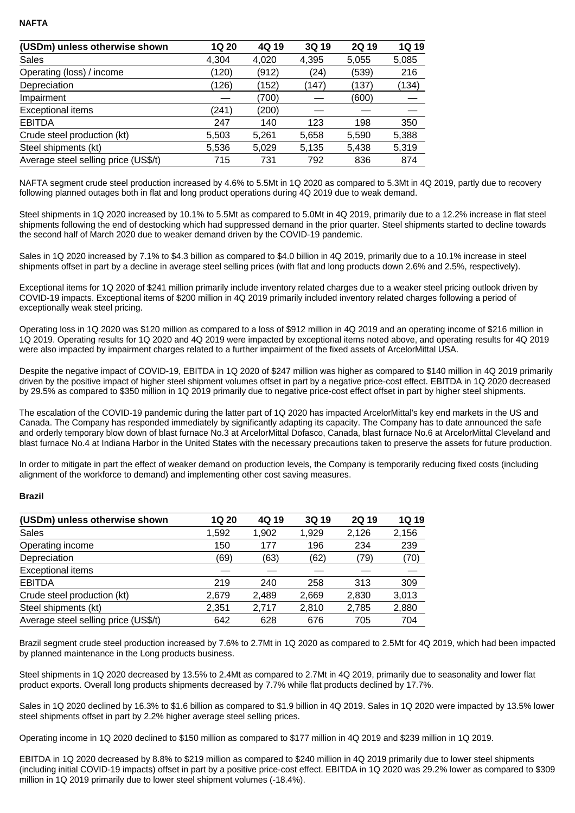#### **NAFTA**

| (USDm) unless otherwise shown        | 1Q 20 | 4Q 19 | <b>3Q19</b> | 2Q 19 | 1Q 19 |
|--------------------------------------|-------|-------|-------------|-------|-------|
| <b>Sales</b>                         | 4,304 | 4,020 | 4,395       | 5,055 | 5,085 |
| Operating (loss) / income            | (120) | (912) | (24)        | (539) | 216   |
| Depreciation                         | (126) | (152) | (147        | (137) | (134) |
| Impairment                           |       | (700) |             | (600) |       |
| <b>Exceptional items</b>             | (241) | (200) |             |       |       |
| <b>EBITDA</b>                        | 247   | 140   | 123         | 198   | 350   |
| Crude steel production (kt)          | 5,503 | 5,261 | 5,658       | 5,590 | 5,388 |
| Steel shipments (kt)                 | 5,536 | 5.029 | 5,135       | 5,438 | 5,319 |
| Average steel selling price (US\$/t) | 715   | 731   | 792         | 836   | 874   |

NAFTA segment crude steel production increased by 4.6% to 5.5Mt in 1Q 2020 as compared to 5.3Mt in 4Q 2019, partly due to recovery following planned outages both in flat and long product operations during 4Q 2019 due to weak demand.

Steel shipments in 1Q 2020 increased by 10.1% to 5.5Mt as compared to 5.0Mt in 4Q 2019, primarily due to a 12.2% increase in flat steel shipments following the end of destocking which had suppressed demand in the prior quarter. Steel shipments started to decline towards the second half of March 2020 due to weaker demand driven by the COVID-19 pandemic.

Sales in 1Q 2020 increased by 7.1% to \$4.3 billion as compared to \$4.0 billion in 4Q 2019, primarily due to a 10.1% increase in steel shipments offset in part by a decline in average steel selling prices (with flat and long products down 2.6% and 2.5%, respectively).

Exceptional items for 1Q 2020 of \$241 million primarily include inventory related charges due to a weaker steel pricing outlook driven by COVID-19 impacts. Exceptional items of \$200 million in 4Q 2019 primarily included inventory related charges following a period of exceptionally weak steel pricing.

Operating loss in 1Q 2020 was \$120 million as compared to a loss of \$912 million in 4Q 2019 and an operating income of \$216 million in 1Q 2019. Operating results for 1Q 2020 and 4Q 2019 were impacted by exceptional items noted above, and operating results for 4Q 2019 were also impacted by impairment charges related to a further impairment of the fixed assets of ArcelorMittal USA.

Despite the negative impact of COVID-19, EBITDA in 1Q 2020 of \$247 million was higher as compared to \$140 million in 4Q 2019 primarily driven by the positive impact of higher steel shipment volumes offset in part by a negative price-cost effect. EBITDA in 1Q 2020 decreased by 29.5% as compared to \$350 million in 1Q 2019 primarily due to negative price-cost effect offset in part by higher steel shipments.

The escalation of the COVID-19 pandemic during the latter part of 1Q 2020 has impacted ArcelorMittal's key end markets in the US and Canada. The Company has responded immediately by significantly adapting its capacity. The Company has to date announced the safe and orderly temporary blow down of blast furnace No.3 at ArcelorMittal Dofasco, Canada, blast furnace No.6 at ArcelorMittal Cleveland and blast furnace No.4 at Indiana Harbor in the United States with the necessary precautions taken to preserve the assets for future production.

In order to mitigate in part the effect of weaker demand on production levels, the Company is temporarily reducing fixed costs (including alignment of the workforce to demand) and implementing other cost saving measures.

# **Brazil**

| (USDm) unless otherwise shown        | 1Q 20 | 4Q 19 | 3Q 19 | 2Q 19 | 1Q 19 |
|--------------------------------------|-------|-------|-------|-------|-------|
| <b>Sales</b>                         | 1,592 | 1,902 | 1.929 | 2.126 | 2,156 |
| Operating income                     | 150   | 177   | 196   | 234   | 239   |
| Depreciation                         | (69)  | (63)  | (62)  | (79)  | (70)  |
| <b>Exceptional items</b>             |       |       |       |       |       |
| <b>EBITDA</b>                        | 219   | 240   | 258   | 313   | 309   |
| Crude steel production (kt)          | 2,679 | 2.489 | 2,669 | 2.830 | 3,013 |
| Steel shipments (kt)                 | 2,351 | 2.717 | 2.810 | 2,785 | 2,880 |
| Average steel selling price (US\$/t) | 642   | 628   | 676   | 705   | 704   |

Brazil segment crude steel production increased by 7.6% to 2.7Mt in 1Q 2020 as compared to 2.5Mt for 4Q 2019, which had been impacted by planned maintenance in the Long products business.

Steel shipments in 1Q 2020 decreased by 13.5% to 2.4Mt as compared to 2.7Mt in 4Q 2019, primarily due to seasonality and lower flat product exports. Overall long products shipments decreased by 7.7% while flat products declined by 17.7%.

Sales in 1Q 2020 declined by 16.3% to \$1.6 billion as compared to \$1.9 billion in 4Q 2019. Sales in 1Q 2020 were impacted by 13.5% lower steel shipments offset in part by 2.2% higher average steel selling prices.

Operating income in 1Q 2020 declined to \$150 million as compared to \$177 million in 4Q 2019 and \$239 million in 1Q 2019.

EBITDA in 1Q 2020 decreased by 8.8% to \$219 million as compared to \$240 million in 4Q 2019 primarily due to lower steel shipments (including initial COVID-19 impacts) offset in part by a positive price-cost effect. EBITDA in 1Q 2020 was 29.2% lower as compared to \$309 million in 1Q 2019 primarily due to lower steel shipment volumes (-18.4%).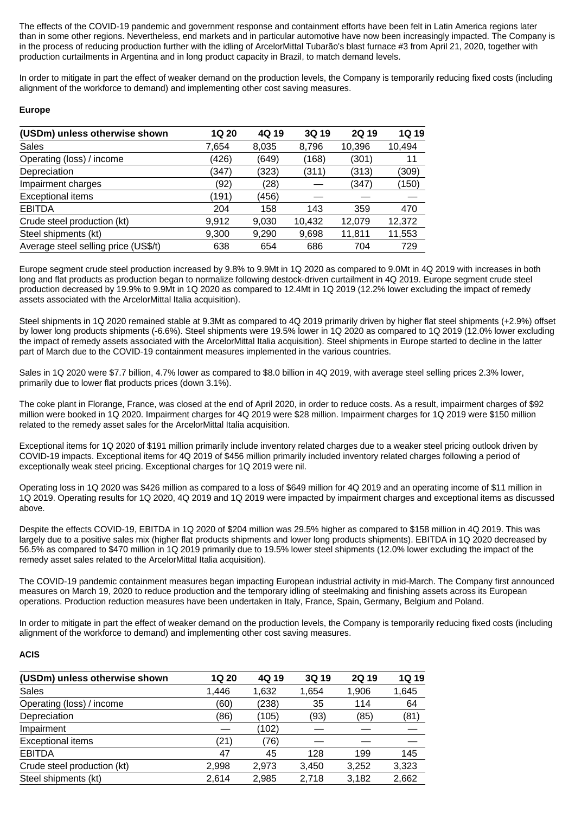The effects of the COVID-19 pandemic and government response and containment efforts have been felt in Latin America regions later than in some other regions. Nevertheless, end markets and in particular automotive have now been increasingly impacted. The Company is in the process of reducing production further with the idling of ArcelorMittal Tubarão's blast furnace #3 from April 21, 2020, together with production curtailments in Argentina and in long product capacity in Brazil, to match demand levels.

In order to mitigate in part the effect of weaker demand on the production levels, the Company is temporarily reducing fixed costs (including alignment of the workforce to demand) and implementing other cost saving measures.

#### **Europe**

| (USDm) unless otherwise shown        | 1Q 20 | 4Q 19 | 3Q 19  | 2Q 19  | 1Q 19  |
|--------------------------------------|-------|-------|--------|--------|--------|
| <b>Sales</b>                         | 7,654 | 8,035 | 8,796  | 10,396 | 10,494 |
| Operating (loss) / income            | (426) | (649) | (168)  | (301)  | 11     |
| Depreciation                         | (347) | (323) | (311)  | (313)  | (309)  |
| Impairment charges                   | (92)  | (28)  |        | (347)  | (150)  |
| <b>Exceptional items</b>             | (191) | (456) |        |        |        |
| <b>EBITDA</b>                        | 204   | 158   | 143    | 359    | 470    |
| Crude steel production (kt)          | 9,912 | 9,030 | 10,432 | 12,079 | 12,372 |
| Steel shipments (kt)                 | 9,300 | 9,290 | 9,698  | 11.811 | 11,553 |
| Average steel selling price (US\$/t) | 638   | 654   | 686    | 704    | 729    |

Europe segment crude steel production increased by 9.8% to 9.9Mt in 1Q 2020 as compared to 9.0Mt in 4Q 2019 with increases in both long and flat products as production began to normalize following destock-driven curtailment in 4Q 2019. Europe segment crude steel production decreased by 19.9% to 9.9Mt in 1Q 2020 as compared to 12.4Mt in 1Q 2019 (12.2% lower excluding the impact of remedy assets associated with the ArcelorMittal Italia acquisition).

Steel shipments in 1Q 2020 remained stable at 9.3Mt as compared to 4Q 2019 primarily driven by higher flat steel shipments (+2.9%) offset by lower long products shipments (-6.6%). Steel shipments were 19.5% lower in 1Q 2020 as compared to 1Q 2019 (12.0% lower excluding the impact of remedy assets associated with the ArcelorMittal Italia acquisition). Steel shipments in Europe started to decline in the latter part of March due to the COVID-19 containment measures implemented in the various countries.

Sales in 1Q 2020 were \$7.7 billion, 4.7% lower as compared to \$8.0 billion in 4Q 2019, with average steel selling prices 2.3% lower, primarily due to lower flat products prices (down 3.1%).

The coke plant in Florange, France, was closed at the end of April 2020, in order to reduce costs. As a result, impairment charges of \$92 million were booked in 1Q 2020. Impairment charges for 4Q 2019 were \$28 million. Impairment charges for 1Q 2019 were \$150 million related to the remedy asset sales for the ArcelorMittal Italia acquisition.

Exceptional items for 1Q 2020 of \$191 million primarily include inventory related charges due to a weaker steel pricing outlook driven by COVID-19 impacts. Exceptional items for 4Q 2019 of \$456 million primarily included inventory related charges following a period of exceptionally weak steel pricing. Exceptional charges for 1Q 2019 were nil.

Operating loss in 1Q 2020 was \$426 million as compared to a loss of \$649 million for 4Q 2019 and an operating income of \$11 million in 1Q 2019. Operating results for 1Q 2020, 4Q 2019 and 1Q 2019 were impacted by impairment charges and exceptional items as discussed above.

Despite the effects COVID-19, EBITDA in 1Q 2020 of \$204 million was 29.5% higher as compared to \$158 million in 4Q 2019. This was largely due to a positive sales mix (higher flat products shipments and lower long products shipments). EBITDA in 1Q 2020 decreased by 56.5% as compared to \$470 million in 1Q 2019 primarily due to 19.5% lower steel shipments (12.0% lower excluding the impact of the remedy asset sales related to the ArcelorMittal Italia acquisition).

The COVID-19 pandemic containment measures began impacting European industrial activity in mid-March. The Company first announced measures on March 19, 2020 to reduce production and the temporary idling of steelmaking and finishing assets across its European operations. Production reduction measures have been undertaken in Italy, France, Spain, Germany, Belgium and Poland.

In order to mitigate in part the effect of weaker demand on the production levels, the Company is temporarily reducing fixed costs (including alignment of the workforce to demand) and implementing other cost saving measures.

# **ACIS**

| (USDm) unless otherwise shown | 1Q 20 | 4Q 19 | 3Q 19 | <b>2Q 19</b> | <b>1Q19</b> |
|-------------------------------|-------|-------|-------|--------------|-------------|
| Sales                         | 1,446 | 1,632 | 1,654 | 1,906        | 1,645       |
| Operating (loss) / income     | (60)  | (238) | 35    | 114          | 64          |
| Depreciation                  | (86)  | (105) | (93)  | (85)         | (81)        |
| Impairment                    |       | (102) |       |              |             |
| <b>Exceptional items</b>      | (21)  | (76)  |       |              |             |
| <b>EBITDA</b>                 | 47    | 45    | 128   | 199          | 145         |
| Crude steel production (kt)   | 2,998 | 2.973 | 3,450 | 3,252        | 3,323       |
| Steel shipments (kt)          | 2,614 | 2,985 | 2.718 | 3,182        | 2,662       |
|                               |       |       |       |              |             |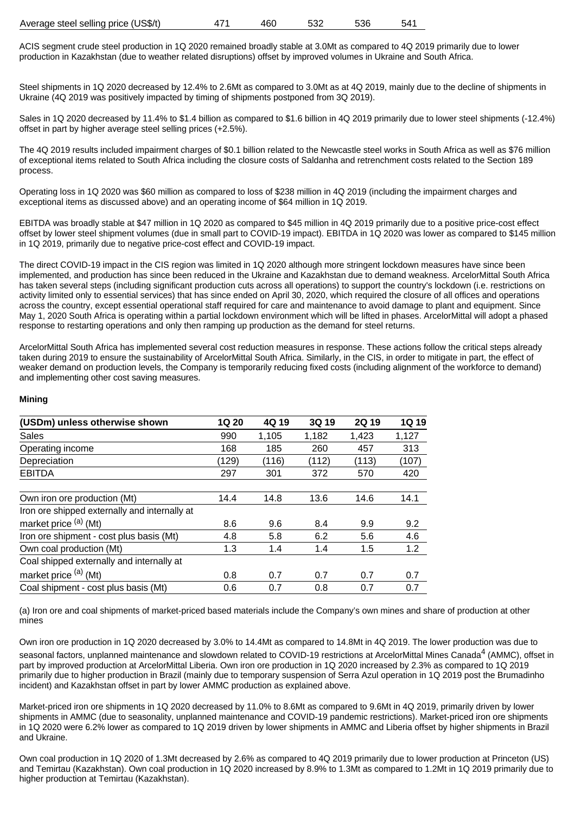| Average steel selling price (US\$/t) | 460 | 532 | 536 | 541 |
|--------------------------------------|-----|-----|-----|-----|
|                                      |     |     |     |     |

ACIS segment crude steel production in 1Q 2020 remained broadly stable at 3.0Mt as compared to 4Q 2019 primarily due to lower production in Kazakhstan (due to weather related disruptions) offset by improved volumes in Ukraine and South Africa.

Steel shipments in 1Q 2020 decreased by 12.4% to 2.6Mt as compared to 3.0Mt as at 4Q 2019, mainly due to the decline of shipments in Ukraine (4Q 2019 was positively impacted by timing of shipments postponed from 3Q 2019).

Sales in 1Q 2020 decreased by 11.4% to \$1.4 billion as compared to \$1.6 billion in 4Q 2019 primarily due to lower steel shipments (-12.4%) offset in part by higher average steel selling prices (+2.5%).

The 4Q 2019 results included impairment charges of \$0.1 billion related to the Newcastle steel works in South Africa as well as \$76 million of exceptional items related to South Africa including the closure costs of Saldanha and retrenchment costs related to the Section 189 process.

Operating loss in 1Q 2020 was \$60 million as compared to loss of \$238 million in 4Q 2019 (including the impairment charges and exceptional items as discussed above) and an operating income of \$64 million in 1Q 2019.

EBITDA was broadly stable at \$47 million in 1Q 2020 as compared to \$45 million in 4Q 2019 primarily due to a positive price-cost effect offset by lower steel shipment volumes (due in small part to COVID-19 impact). EBITDA in 1Q 2020 was lower as compared to \$145 million in 1Q 2019, primarily due to negative price-cost effect and COVID-19 impact.

The direct COVID-19 impact in the CIS region was limited in 1Q 2020 although more stringent lockdown measures have since been implemented, and production has since been reduced in the Ukraine and Kazakhstan due to demand weakness. ArcelorMittal South Africa has taken several steps (including significant production cuts across all operations) to support the country's lockdown (i.e. restrictions on activity limited only to essential services) that has since ended on April 30, 2020, which required the closure of all offices and operations across the country, except essential operational staff required for care and maintenance to avoid damage to plant and equipment. Since May 1, 2020 South Africa is operating within a partial lockdown environment which will be lifted in phases. ArcelorMittal will adopt a phased response to restarting operations and only then ramping up production as the demand for steel returns.

ArcelorMittal South Africa has implemented several cost reduction measures in response. These actions follow the critical steps already taken during 2019 to ensure the sustainability of ArcelorMittal South Africa. Similarly, in the CIS, in order to mitigate in part, the effect of weaker demand on production levels, the Company is temporarily reducing fixed costs (including alignment of the workforce to demand) and implementing other cost saving measures.

#### **Mining**

| (USDm) unless otherwise shown                 | 1Q 20 | 4Q 19 | <b>3Q19</b> | 2Q 19 | 1Q 19 |
|-----------------------------------------------|-------|-------|-------------|-------|-------|
| Sales                                         | 990   | 1,105 | 1,182       | 1,423 | 1,127 |
| Operating income                              | 168   | 185   | 260         | 457   | 313   |
| Depreciation                                  | (129) | (116) | (112)       | (113) | (107) |
| <b>EBITDA</b>                                 | 297   | 301   | 372         | 570   | 420   |
|                                               |       |       |             |       |       |
| Own iron ore production (Mt)                  | 14.4  | 14.8  | 13.6        | 14.6  | 14.1  |
| Iron ore shipped externally and internally at |       |       |             |       |       |
| market price <sup>(a)</sup> (Mt)              | 8.6   | 9.6   | 8.4         | 9.9   | 9.2   |
| Iron ore shipment - cost plus basis (Mt)      | 4.8   | 5.8   | 6.2         | 5.6   | 4.6   |
| Own coal production (Mt)                      | 1.3   | 1.4   | 1.4         | 1.5   | 1.2   |
| Coal shipped externally and internally at     |       |       |             |       |       |
| market price <sup>(a)</sup> (Mt)              | 0.8   | 0.7   | 0.7         | 0.7   | 0.7   |
| Coal shipment - cost plus basis (Mt)          | 0.6   | 0.7   | 0.8         | 0.7   | 0.7   |

(a) Iron ore and coal shipments of market-priced based materials include the Company's own mines and share of production at other mines

Own iron ore production in 1Q 2020 decreased by 3.0% to 14.4Mt as compared to 14.8Mt in 4Q 2019. The lower production was due to seasonal factors, unplanned maintenance and slowdown related to COVID-19 restrictions at ArcelorMittal Mines Canada<sup>4</sup> (AMMC), offset in part by improved production at ArcelorMittal Liberia. Own iron ore production in 1Q 2020 increased by 2.3% as compared to 1Q 2019 primarily due to higher production in Brazil (mainly due to temporary suspension of Serra Azul operation in 1Q 2019 post the Brumadinho incident) and Kazakhstan offset in part by lower AMMC production as explained above.

Market-priced iron ore shipments in 1Q 2020 decreased by 11.0% to 8.6Mt as compared to 9.6Mt in 4Q 2019, primarily driven by lower shipments in AMMC (due to seasonality, unplanned maintenance and COVID-19 pandemic restrictions). Market-priced iron ore shipments in 1Q 2020 were 6.2% lower as compared to 1Q 2019 driven by lower shipments in AMMC and Liberia offset by higher shipments in Brazil and Ukraine.

Own coal production in 1Q 2020 of 1.3Mt decreased by 2.6% as compared to 4Q 2019 primarily due to lower production at Princeton (US) and Temirtau (Kazakhstan). Own coal production in 1Q 2020 increased by 8.9% to 1.3Mt as compared to 1.2Mt in 1Q 2019 primarily due to higher production at Temirtau (Kazakhstan).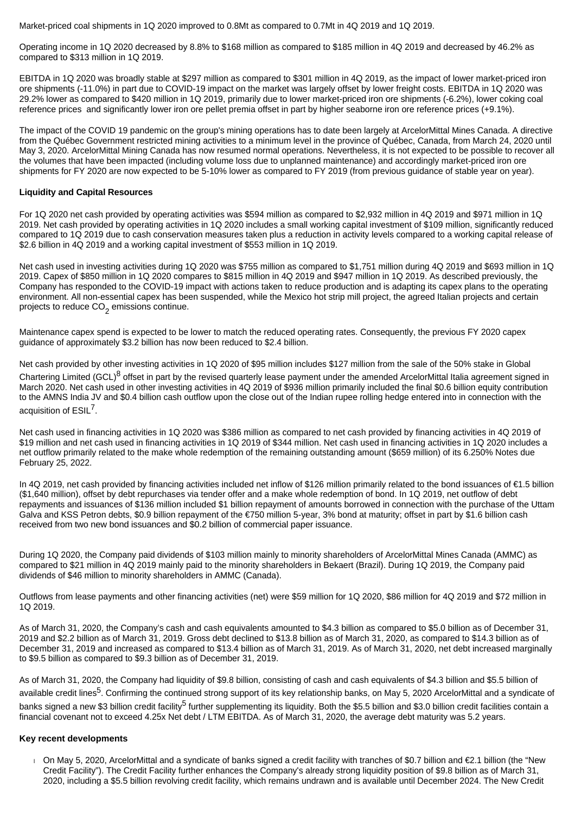Market-priced coal shipments in 1Q 2020 improved to 0.8Mt as compared to 0.7Mt in 4Q 2019 and 1Q 2019.

Operating income in 1Q 2020 decreased by 8.8% to \$168 million as compared to \$185 million in 4Q 2019 and decreased by 46.2% as compared to \$313 million in 1Q 2019.

EBITDA in 1Q 2020 was broadly stable at \$297 million as compared to \$301 million in 4Q 2019, as the impact of lower market-priced iron ore shipments (-11.0%) in part due to COVID-19 impact on the market was largely offset by lower freight costs. EBITDA in 1Q 2020 was 29.2% lower as compared to \$420 million in 1Q 2019, primarily due to lower market-priced iron ore shipments (-6.2%), lower coking coal reference prices and significantly lower iron ore pellet premia offset in part by higher seaborne iron ore reference prices (+9.1%).

The impact of the COVID 19 pandemic on the group's mining operations has to date been largely at ArcelorMittal Mines Canada. A directive from the Québec Government restricted mining activities to a minimum level in the province of Québec, Canada, from March 24, 2020 until May 3, 2020. ArcelorMittal Mining Canada has now resumed normal operations. Nevertheless, it is not expected to be possible to recover all the volumes that have been impacted (including volume loss due to unplanned maintenance) and accordingly market-priced iron ore shipments for FY 2020 are now expected to be 5-10% lower as compared to FY 2019 (from previous guidance of stable year on year).

### **Liquidity and Capital Resources**

For 1Q 2020 net cash provided by operating activities was \$594 million as compared to \$2,932 million in 4Q 2019 and \$971 million in 1Q 2019. Net cash provided by operating activities in 1Q 2020 includes a small working capital investment of \$109 million, significantly reduced compared to 1Q 2019 due to cash conservation measures taken plus a reduction in activity levels compared to a working capital release of \$2.6 billion in 4Q 2019 and a working capital investment of \$553 million in 1Q 2019.

Net cash used in investing activities during 1Q 2020 was \$755 million as compared to \$1,751 million during 4Q 2019 and \$693 million in 1Q 2019. Capex of \$850 million in 1Q 2020 compares to \$815 million in 4Q 2019 and \$947 million in 1Q 2019. As described previously, the Company has responded to the COVID-19 impact with actions taken to reduce production and is adapting its capex plans to the operating environment. All non-essential capex has been suspended, while the Mexico hot strip mill project, the agreed Italian projects and certain projects to reduce CO<sub>2</sub> emissions continue.

Maintenance capex spend is expected to be lower to match the reduced operating rates. Consequently, the previous FY 2020 capex guidance of approximately \$3.2 billion has now been reduced to \$2.4 billion.

Net cash provided by other investing activities in 1Q 2020 of \$95 million includes \$127 million from the sale of the 50% stake in Global Chartering Limited (GCL)<sup>8</sup> offset in part by the revised quarterly lease payment under the amended ArcelorMittal Italia agreement signed in March 2020. Net cash used in other investing activities in 4Q 2019 of \$936 million primarily included the final \$0.6 billion equity contribution to the AMNS India JV and \$0.4 billion cash outflow upon the close out of the Indian rupee rolling hedge entered into in connection with the acquisition of ESIL<sup>7</sup>.

Net cash used in financing activities in 1Q 2020 was \$386 million as compared to net cash provided by financing activities in 4Q 2019 of \$19 million and net cash used in financing activities in 1Q 2019 of \$344 million. Net cash used in financing activities in 1Q 2020 includes a net outflow primarily related to the make whole redemption of the remaining outstanding amount (\$659 million) of its 6.250% Notes due February 25, 2022.

In 4Q 2019, net cash provided by financing activities included net inflow of \$126 million primarily related to the bond issuances of €1.5 billion (\$1,640 million), offset by debt repurchases via tender offer and a make whole redemption of bond. In 1Q 2019, net outflow of debt repayments and issuances of \$136 million included \$1 billion repayment of amounts borrowed in connection with the purchase of the Uttam Galva and KSS Petron debts, \$0.9 billion repayment of the €750 million 5-year, 3% bond at maturity; offset in part by \$1.6 billion cash received from two new bond issuances and \$0.2 billion of commercial paper issuance.

During 1Q 2020, the Company paid dividends of \$103 million mainly to minority shareholders of ArcelorMittal Mines Canada (AMMC) as compared to \$21 million in 4Q 2019 mainly paid to the minority shareholders in Bekaert (Brazil). During 1Q 2019, the Company paid dividends of \$46 million to minority shareholders in AMMC (Canada).

Outflows from lease payments and other financing activities (net) were \$59 million for 1Q 2020, \$86 million for 4Q 2019 and \$72 million in 1Q 2019.

As of March 31, 2020, the Company's cash and cash equivalents amounted to \$4.3 billion as compared to \$5.0 billion as of December 31, 2019 and \$2.2 billion as of March 31, 2019. Gross debt declined to \$13.8 billion as of March 31, 2020, as compared to \$14.3 billion as of December 31, 2019 and increased as compared to \$13.4 billion as of March 31, 2019. As of March 31, 2020, net debt increased marginally to \$9.5 billion as compared to \$9.3 billion as of December 31, 2019.

As of March 31, 2020, the Company had liquidity of \$9.8 billion, consisting of cash and cash equivalents of \$4.3 billion and \$5.5 billion of available credit lines<sup>5</sup>. Confirming the continued strong support of its key relationship banks, on May 5, 2020 ArcelorMittal and a syndicate of banks signed a new \$3 billion credit facility<sup>5</sup> further supplementing its liquidity. Both the \$5.5 billion and \$3.0 billion credit facilities contain a financial covenant not to exceed 4.25x Net debt / LTM EBITDA. As of March 31, 2020, the average debt maturity was 5.2 years.

# **Key recent developments**

 On May 5, 2020, ArcelorMittal and a syndicate of banks signed a credit facility with tranches of \$0.7 billion and €2.1 billion (the "New Credit Facility"). The Credit Facility further enhances the Company's already strong liquidity position of \$9.8 billion as of March 31, 2020, including a \$5.5 billion revolving credit facility, which remains undrawn and is available until December 2024. The New Credit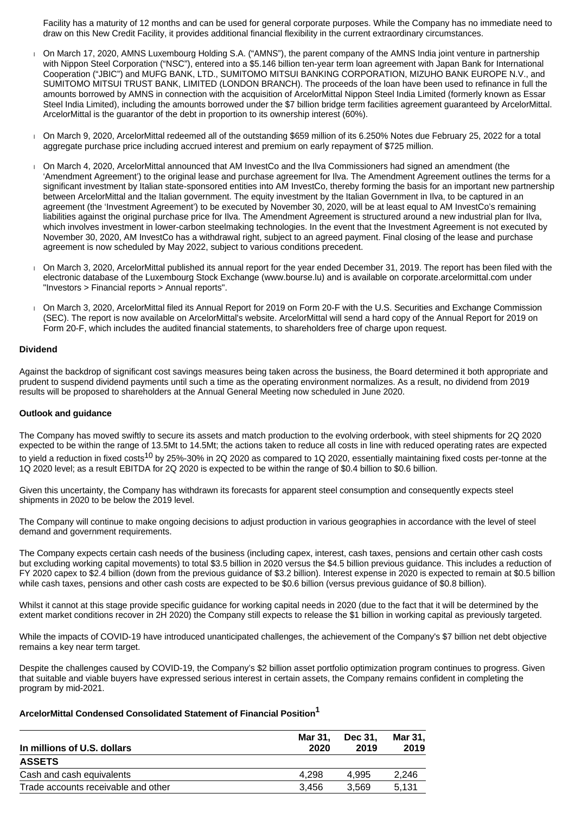Facility has a maturity of 12 months and can be used for general corporate purposes. While the Company has no immediate need to draw on this New Credit Facility, it provides additional financial flexibility in the current extraordinary circumstances.

- On March 17, 2020, AMNS Luxembourg Holding S.A. ("AMNS"), the parent company of the AMNS India joint venture in partnership with Nippon Steel Corporation ("NSC"), entered into a \$5.146 billion ten-year term loan agreement with Japan Bank for International Cooperation ("JBIC") and MUFG BANK, LTD., SUMITOMO MITSUI BANKING CORPORATION, MIZUHO BANK EUROPE N.V., and SUMITOMO MITSUI TRUST BANK, LIMITED (LONDON BRANCH). The proceeds of the loan have been used to refinance in full the amounts borrowed by AMNS in connection with the acquisition of ArcelorMittal Nippon Steel India Limited (formerly known as Essar Steel India Limited), including the amounts borrowed under the \$7 billion bridge term facilities agreement guaranteed by ArcelorMittal. ArcelorMittal is the guarantor of the debt in proportion to its ownership interest (60%).
- On March 9, 2020, ArcelorMittal redeemed all of the outstanding \$659 million of its 6.250% Notes due February 25, 2022 for a total aggregate purchase price including accrued interest and premium on early repayment of \$725 million.
- On March 4, 2020, ArcelorMittal announced that AM InvestCo and the Ilva Commissioners had signed an amendment (the 'Amendment Agreement') to the original lease and purchase agreement for Ilva. The Amendment Agreement outlines the terms for a significant investment by Italian state-sponsored entities into AM InvestCo, thereby forming the basis for an important new partnership between ArcelorMittal and the Italian government. The equity investment by the Italian Government in Ilva, to be captured in an agreement (the 'Investment Agreement') to be executed by November 30, 2020, will be at least equal to AM InvestCo's remaining liabilities against the original purchase price for Ilva. The Amendment Agreement is structured around a new industrial plan for Ilva, which involves investment in lower-carbon steelmaking technologies. In the event that the Investment Agreement is not executed by November 30, 2020, AM InvestCo has a withdrawal right, subject to an agreed payment. Final closing of the lease and purchase agreement is now scheduled by May 2022, subject to various conditions precedent.
- On March 3, 2020, ArcelorMittal published its annual report for the year ended December 31, 2019. The report has been filed with the electronic database of the Luxembourg Stock Exchange (www.bourse.lu) and is available on corporate.arcelormittal.com under "Investors > Financial reports > Annual reports".
- On March 3, 2020, ArcelorMittal filed its Annual Report for 2019 on Form 20-F with the U.S. Securities and Exchange Commission (SEC). The report is now available on ArcelorMittal's website. ArcelorMittal will send a hard copy of the Annual Report for 2019 on Form 20-F, which includes the audited financial statements, to shareholders free of charge upon request.

#### **Dividend**

Against the backdrop of significant cost savings measures being taken across the business, the Board determined it both appropriate and prudent to suspend dividend payments until such a time as the operating environment normalizes. As a result, no dividend from 2019 results will be proposed to shareholders at the Annual General Meeting now scheduled in June 2020.

#### **Outlook and guidance**

The Company has moved swiftly to secure its assets and match production to the evolving orderbook, with steel shipments for 2Q 2020 expected to be within the range of 13.5Mt to 14.5Mt; the actions taken to reduce all costs in line with reduced operating rates are expected to vield a reduction in fixed costs<sup>10</sup> by 25%-30% in 2Q 2020 as compared to 1Q 2020, essentially maintaining fixed costs per-tonne at the 1Q 2020 level; as a result EBITDA for 2Q 2020 is expected to be within the range of \$0.4 billion to \$0.6 billion.

Given this uncertainty, the Company has withdrawn its forecasts for apparent steel consumption and consequently expects steel shipments in 2020 to be below the 2019 level.

The Company will continue to make ongoing decisions to adjust production in various geographies in accordance with the level of steel demand and government requirements.

The Company expects certain cash needs of the business (including capex, interest, cash taxes, pensions and certain other cash costs but excluding working capital movements) to total \$3.5 billion in 2020 versus the \$4.5 billion previous guidance. This includes a reduction of FY 2020 capex to \$2.4 billion (down from the previous guidance of \$3.2 billion). Interest expense in 2020 is expected to remain at \$0.5 billion while cash taxes, pensions and other cash costs are expected to be \$0.6 billion (versus previous guidance of \$0.8 billion).

Whilst it cannot at this stage provide specific guidance for working capital needs in 2020 (due to the fact that it will be determined by the extent market conditions recover in 2H 2020) the Company still expects to release the \$1 billion in working capital as previously targeted.

While the impacts of COVID-19 have introduced unanticipated challenges, the achievement of the Company's \$7 billion net debt objective remains a key near term target.

Despite the challenges caused by COVID-19, the Company's \$2 billion asset portfolio optimization program continues to progress. Given that suitable and viable buyers have expressed serious interest in certain assets, the Company remains confident in completing the program by mid-2021.

# **ArcelorMittal Condensed Consolidated Statement of Financial Position<sup>1</sup>**

| In millions of U.S. dollars         | Mar 31. | <b>Dec 31.</b> | Mar 31. |
|-------------------------------------|---------|----------------|---------|
|                                     | 2020    | 2019           | 2019    |
| <b>ASSETS</b>                       |         |                |         |
| Cash and cash equivalents           | 4.298   | 4.995          | 2.246   |
| Trade accounts receivable and other | 3.456   | 3.569          | 5.131   |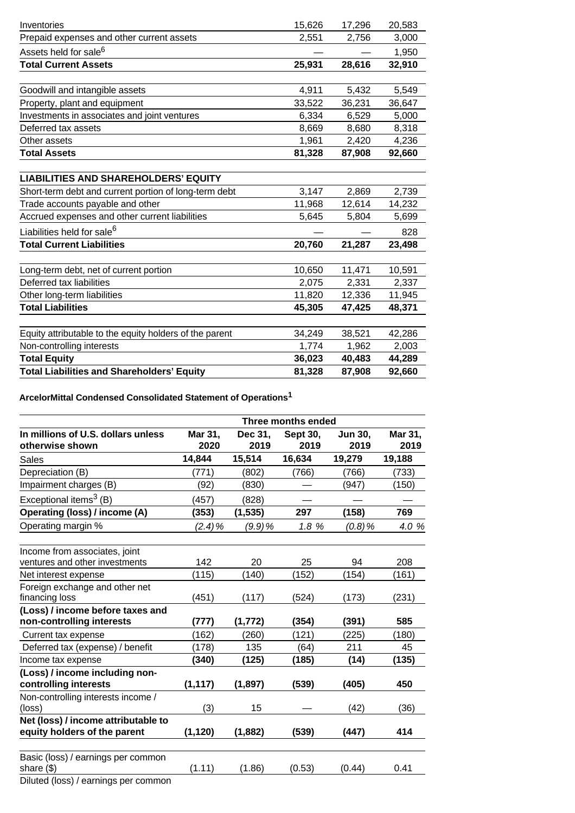| Inventories                                             | 15,626 | 17,296 | 20,583 |
|---------------------------------------------------------|--------|--------|--------|
| Prepaid expenses and other current assets               | 2,551  | 2,756  | 3,000  |
| Assets held for sale <sup>6</sup>                       |        |        | 1,950  |
| <b>Total Current Assets</b>                             | 25,931 | 28,616 | 32,910 |
|                                                         |        |        |        |
| Goodwill and intangible assets                          | 4,911  | 5,432  | 5,549  |
| Property, plant and equipment                           | 33,522 | 36,231 | 36,647 |
| Investments in associates and joint ventures            | 6,334  | 6,529  | 5,000  |
| Deferred tax assets                                     | 8,669  | 8,680  | 8,318  |
| Other assets                                            | 1,961  | 2,420  | 4,236  |
| <b>Total Assets</b>                                     | 81,328 | 87,908 | 92,660 |
|                                                         |        |        |        |
| <b>LIABILITIES AND SHAREHOLDERS' EQUITY</b>             |        |        |        |
| Short-term debt and current portion of long-term debt   | 3,147  | 2,869  | 2,739  |
| Trade accounts payable and other                        | 11,968 | 12,614 | 14,232 |
| Accrued expenses and other current liabilities          | 5,645  | 5,804  | 5,699  |
| Liabilities held for sale <sup>6</sup>                  |        |        | 828    |
| <b>Total Current Liabilities</b>                        | 20,760 | 21,287 | 23,498 |
|                                                         |        |        |        |
| Long-term debt, net of current portion                  | 10,650 | 11,471 | 10,591 |
| Deferred tax liabilities                                | 2,075  | 2,331  | 2,337  |
| Other long-term liabilities                             | 11,820 | 12,336 | 11,945 |
| <b>Total Liabilities</b>                                | 45,305 | 47,425 | 48,371 |
|                                                         |        |        |        |
| Equity attributable to the equity holders of the parent | 34,249 | 38,521 | 42,286 |
| Non-controlling interests                               | 1,774  | 1,962  | 2,003  |
| <b>Total Equity</b>                                     | 36,023 | 40,483 | 44,289 |
| <b>Total Liabilities and Shareholders' Equity</b>       | 81,328 | 87,908 | 92,660 |

# **ArcelorMittal Condensed Consolidated Statement of Operations<sup>1</sup>**

| In millions of U.S. dollars unless<br>otherwise shown           | Mar 31,<br>2020 | Dec 31,<br>2019 | <b>Sept 30,</b><br>2019 | <b>Jun 30,</b><br>2019 | Mar 31,<br>2019 |
|-----------------------------------------------------------------|-----------------|-----------------|-------------------------|------------------------|-----------------|
| <b>Sales</b>                                                    | 14,844          | 15,514          | 16,634                  | 19,279                 | 19,188          |
| Depreciation (B)                                                | (771)           | (802)           | (766)                   | (766)                  | (733)           |
| Impairment charges (B)                                          | (92)            | (830)           |                         | (947)                  | (150)           |
| Exceptional items <sup>3</sup> (B)                              | (457)           | (828)           |                         |                        |                 |
| <b>Operating (loss) / income (A)</b>                            | (353)           | (1, 535)        | 297                     | (158)                  | 769             |
| Operating margin %                                              | $(2.4)\%$       | (9.9)%          | 1.8%                    | $(0.8)$ %              | 4.0 %           |
| Income from associates, joint<br>ventures and other investments | 142             | 20              | 25                      | 94                     | 208             |
| Net interest expense                                            | (115)           | (140)           | (152)                   | (154)                  | (161)           |
| Foreign exchange and other net<br>financing loss                | (451)           | (117)           | (524)                   | (173)                  | (231)           |
| (Loss) / income before taxes and                                |                 |                 |                         |                        |                 |
| non-controlling interests                                       | (777)           | (1, 772)        | (354)                   | (391)                  | 585             |
| Current tax expense                                             | (162)           | (260)           | (121)                   | (225)                  | (180)           |
| Deferred tax (expense) / benefit                                | (178)           | 135             | (64)                    | 211                    | 45              |
| Income tax expense                                              | (340)           | (125)           | (185)                   | (14)                   | (135)           |
| (Loss) / income including non-<br>controlling interests         | (1, 117)        | (1, 897)        | (539)                   | (405)                  | 450             |
| Non-controlling interests income /<br>(loss)                    | (3)             | 15              |                         | (42)                   | (36)            |
| Net (loss) / income attributable to                             |                 |                 |                         |                        |                 |
| equity holders of the parent                                    | (1, 120)        | (1,882)         | (539)                   | (447)                  | 414             |
| Basic (loss) / earnings per common<br>share $($ 1)              | (1.11)          | (1.86)          | (0.53)                  | (0.44)                 | 0.41            |
| Diluted (loss) / earnings per common                            |                 |                 |                         |                        |                 |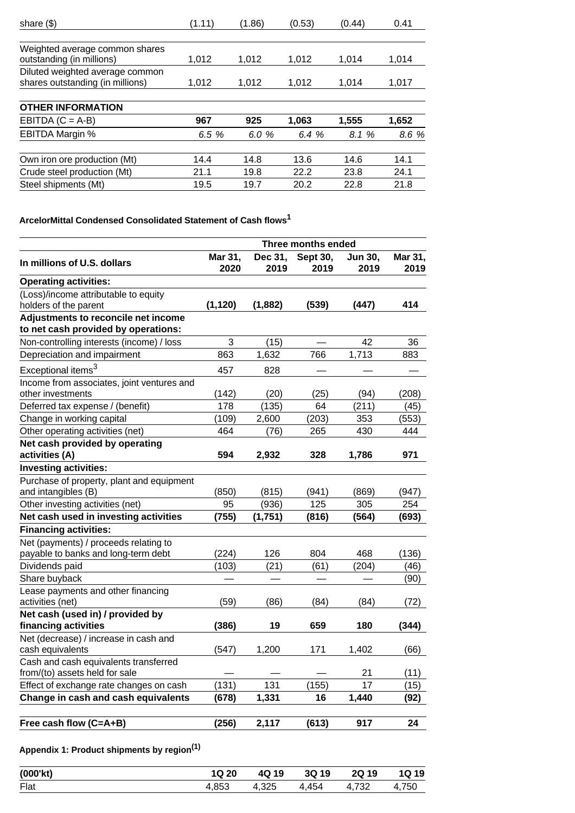| share $(\$)$                                                | (1.11) | (1.86) | (0.53) | (0.44) | 0.41  |
|-------------------------------------------------------------|--------|--------|--------|--------|-------|
|                                                             |        |        |        |        |       |
| Weighted average common shares<br>outstanding (in millions) | 1,012  | 1,012  | 1,012  | 1,014  | 1,014 |
| Diluted weighted average common                             |        |        |        |        |       |
| shares outstanding (in millions)                            | 1.012  | 1.012  | 1.012  | 1.014  | 1,017 |
|                                                             |        |        |        |        |       |
| <b>OTHER INFORMATION</b>                                    |        |        |        |        |       |
| EBITDA $(C = A-B)$                                          | 967    | 925    | 1,063  | 1,555  | 1,652 |
| <b>EBITDA Margin %</b>                                      | 6.5 %  | 6.0%   | 6.4 %  | 8.1 %  | 8.6 % |
| Own iron ore production (Mt)                                | 14.4   | 14.8   | 13.6   | 14.6   | 14.1  |
| Crude steel production (Mt)                                 | 21.1   | 19.8   | 22.2   | 23.8   | 24.1  |
| Steel shipments (Mt)                                        | 19.5   | 19.7   | 20.2   | 22.8   | 21.8  |

# **ArcelorMittal Condensed Consolidated Statement of Cash flows<sup>1</sup>**

|                                                                         | <b>Three months ended</b> |                 |                         |                 |                 |
|-------------------------------------------------------------------------|---------------------------|-----------------|-------------------------|-----------------|-----------------|
| In millions of U.S. dollars                                             | Mar 31,<br>2020           | Dec 31,<br>2019 | <b>Sept 30,</b><br>2019 | Jun 30,<br>2019 | Mar 31,<br>2019 |
| <b>Operating activities:</b>                                            |                           |                 |                         |                 |                 |
| (Loss)/income attributable to equity                                    |                           |                 |                         |                 |                 |
| holders of the parent                                                   | (1, 120)                  | (1,882)         | (539)                   | (447)           | 414             |
| Adjustments to reconcile net income                                     |                           |                 |                         |                 |                 |
| to net cash provided by operations:                                     |                           |                 |                         |                 |                 |
| Non-controlling interests (income) / loss                               | 3                         | (15)            |                         | 42              | 36              |
| Depreciation and impairment                                             | 863                       | 1,632           | 766                     | 1,713           | 883             |
| Exceptional items <sup>3</sup>                                          | 457                       | 828             |                         |                 |                 |
| Income from associates, joint ventures and                              |                           |                 |                         |                 |                 |
| other investments                                                       | (142)                     | (20)            | (25)                    | (94)            | (208)           |
| Deferred tax expense / (benefit)                                        | 178                       | (135)           | 64                      | (211)           | (45)            |
| Change in working capital                                               | (109)                     | 2,600           | (203)                   | 353             | (553)           |
| Other operating activities (net)                                        | 464                       | (76)            | 265                     | 430             | 444             |
| Net cash provided by operating                                          |                           |                 |                         |                 |                 |
| activities (A)                                                          | 594                       | 2,932           | 328                     | 1,786           | 971             |
| <b>Investing activities:</b>                                            |                           |                 |                         |                 |                 |
| Purchase of property, plant and equipment                               |                           |                 |                         |                 |                 |
| and intangibles (B)                                                     | (850)                     | (815)           | (941)                   | (869)           | (947)           |
| Other investing activities (net)                                        | 95                        | (936)           | 125                     | 305             | 254             |
| Net cash used in investing activities                                   | (755)                     | (1,751)         | (816)                   | (564)           | (693)           |
| <b>Financing activities:</b>                                            |                           |                 |                         |                 |                 |
| Net (payments) / proceeds relating to                                   |                           |                 |                         |                 |                 |
| payable to banks and long-term debt                                     | (224)                     | 126             | 804                     | 468             | (136)           |
| Dividends paid                                                          | (103)                     | (21)            | (61)                    | (204)           | (46)            |
| Share buyback                                                           |                           |                 |                         |                 | (90)            |
| Lease payments and other financing                                      |                           |                 |                         |                 |                 |
| activities (net)                                                        | (59)                      | (86)            | (84)                    | (84)            | (72)            |
| Net cash (used in) / provided by                                        |                           |                 |                         |                 |                 |
| financing activities                                                    | (386)                     | 19              | 659                     | 180             | (344)           |
| Net (decrease) / increase in cash and                                   |                           |                 |                         |                 |                 |
| cash equivalents                                                        | (547)                     | 1,200           | 171                     | 1,402           | (66)            |
| Cash and cash equivalents transferred<br>from/(to) assets held for sale |                           |                 |                         | 21              | (11)            |
| Effect of exchange rate changes on cash                                 | (131)                     | 131             | (155)                   | 17              | (15)            |
| Change in cash and cash equivalents                                     | (678)                     | 1,331           | 16                      | 1,440           | (92)            |
|                                                                         |                           |                 |                         |                 |                 |
| Free cash flow (C=A+B)                                                  | (256)                     | 2,117           | (613)                   | 917             | 24              |

**Appendix 1: Product shipments by region(1)**

| (000'kt) | 1Q 20        | 19<br>40 | 3Q 19 | 2Q 19    | । 19 |
|----------|--------------|----------|-------|----------|------|
| Flat     | QFA<br>4.803 | 1.325    | 454   | 732<br>4 | 750  |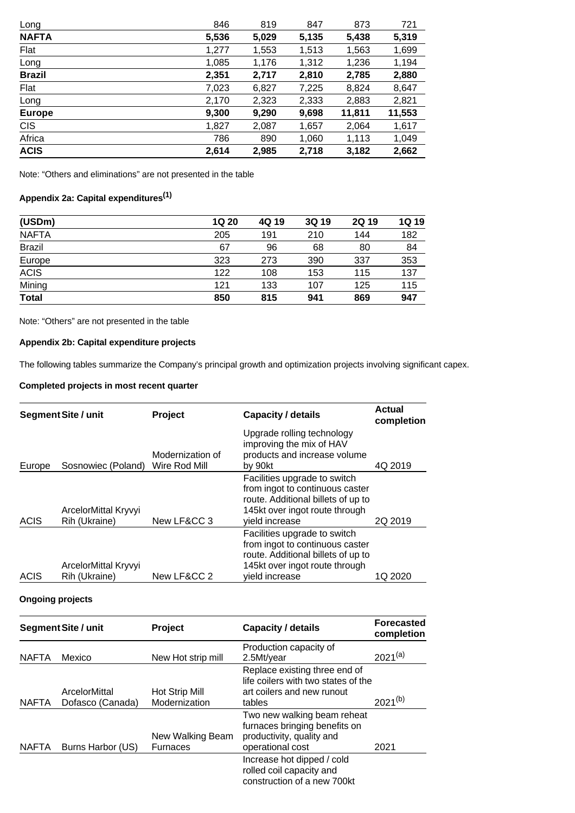| Long          | 846   | 819   | 847   | 873    | 721    |
|---------------|-------|-------|-------|--------|--------|
| <b>NAFTA</b>  | 5,536 | 5,029 | 5,135 | 5,438  | 5,319  |
| Flat          | 1,277 | 1,553 | 1,513 | 1,563  | 1,699  |
| Long          | 1,085 | 1,176 | 1,312 | 1,236  | 1,194  |
| <b>Brazil</b> | 2,351 | 2,717 | 2,810 | 2,785  | 2,880  |
| Flat          | 7,023 | 6,827 | 7,225 | 8,824  | 8,647  |
| Long          | 2,170 | 2,323 | 2,333 | 2,883  | 2,821  |
| Europe        | 9,300 | 9,290 | 9,698 | 11,811 | 11,553 |
| <b>CIS</b>    | 1,827 | 2,087 | 1,657 | 2,064  | 1,617  |
| Africa        | 786   | 890   | 1,060 | 1,113  | 1,049  |
| <b>ACIS</b>   | 2,614 | 2,985 | 2,718 | 3,182  | 2,662  |

Note: "Others and eliminations" are not presented in the table

# **Appendix 2a: Capital expenditures(1)**

| (USDm)        | 1Q 20 | 4Q 19 | <b>3Q19</b> | 2Q 19 | <b>1Q19</b> |
|---------------|-------|-------|-------------|-------|-------------|
| <b>NAFTA</b>  | 205   | 191   | 210         | 144   | 182         |
| <b>Brazil</b> | 67    | 96    | 68          | 80    | 84          |
| Europe        | 323   | 273   | 390         | 337   | 353         |
| <b>ACIS</b>   | 122   | 108   | 153         | 115   | 137         |
| Mining        | 121   | 133   | 107         | 125   | 115         |
| <b>Total</b>  | 850   | 815   | 941         | 869   | 947         |

Note: "Others" are not presented in the table

# **Appendix 2b: Capital expenditure projects**

The following tables summarize the Company's principal growth and optimization projects involving significant capex.

# **Completed projects in most recent quarter**

| Segment Site / unit |                                       | <b>Project</b>                    | <b>Capacity / details</b>                                                                                                                                 | <b>Actual</b><br>completion |  |
|---------------------|---------------------------------------|-----------------------------------|-----------------------------------------------------------------------------------------------------------------------------------------------------------|-----------------------------|--|
| Europe              | Sosnowiec (Poland)                    | Modernization of<br>Wire Rod Mill | Upgrade rolling technology<br>improving the mix of HAV<br>products and increase volume<br>by 90kt                                                         | 4Q 2019                     |  |
| ACIS                | ArcelorMittal Kryvyi<br>Rih (Ukraine) | New LF&CC 3                       | Facilities upgrade to switch<br>from ingot to continuous caster<br>route. Additional billets of up to<br>145kt over ingot route through<br>yield increase | 2Q 2019                     |  |
| ACIS                | ArcelorMittal Kryvyi<br>Rih (Ukraine) | New LF&CC 2                       | Facilities upgrade to switch<br>from ingot to continuous caster<br>route. Additional billets of up to<br>145kt over ingot route through<br>yield increase | 1Q 2020                     |  |

# **Ongoing projects**

|              | Segment Site / unit               | <b>Project</b>                      | Capacity / details                                                                                            | <b>Forecasted</b><br>completion |
|--------------|-----------------------------------|-------------------------------------|---------------------------------------------------------------------------------------------------------------|---------------------------------|
| <b>NAFTA</b> | Mexico                            | New Hot strip mill                  | Production capacity of<br>2.5Mt/year                                                                          | $2021^{(a)}$                    |
| <b>NAFTA</b> | ArcelorMittal<br>Dofasco (Canada) | Hot Strip Mill<br>Modernization     | Replace existing three end of<br>life coilers with two states of the<br>art coilers and new runout<br>tables  | $2021^{(b)}$                    |
| <b>NAFTA</b> | Burns Harbor (US)                 | New Walking Beam<br><b>Furnaces</b> | Two new walking beam reheat<br>furnaces bringing benefits on<br>productivity, quality and<br>operational cost | 2021                            |
|              |                                   |                                     | Increase hot dipped / cold<br>rolled coil capacity and<br>construction of a new 700kt                         |                                 |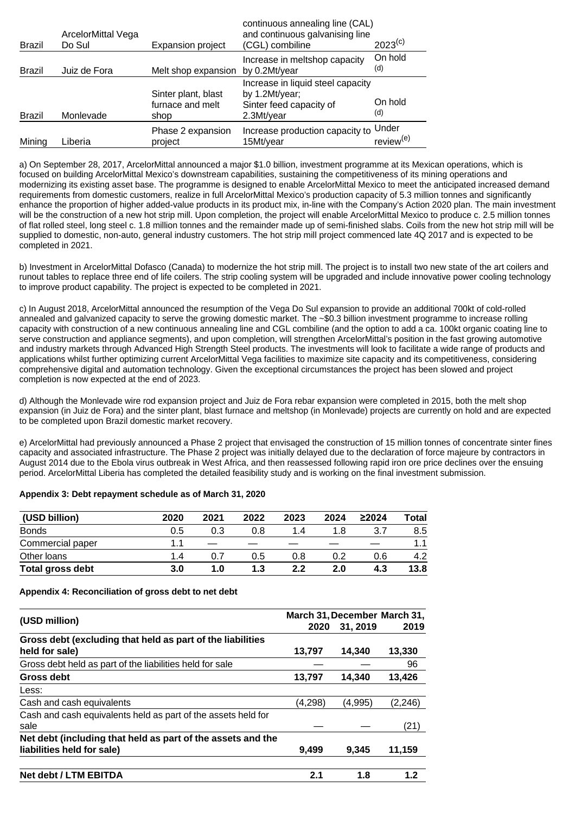| Mining        | Liberia                      | Phase 2 expansion<br>project                    | Increase production capacity to Under<br>15Mt/year                                           | review <sup>(e)</sup> |
|---------------|------------------------------|-------------------------------------------------|----------------------------------------------------------------------------------------------|-----------------------|
| <b>Brazil</b> | Monlevade                    | Sinter plant, blast<br>furnace and melt<br>shop | Increase in liquid steel capacity<br>by 1.2Mt/year;<br>Sinter feed capacity of<br>2.3Mt/year | On hold<br>(d)        |
| <b>Brazil</b> | Juiz de Fora                 | Melt shop expansion                             | Increase in meltshop capacity<br>by 0.2Mt/year                                               | On hold<br>(d)        |
| <b>Brazil</b> | ArcelorMittal Vega<br>Do Sul | <b>Expansion project</b>                        | continuous annealing line (CAL)<br>and continuous galvanising line<br>(CGL) combiline        | $2023^{(c)}$          |

a) On September 28, 2017, ArcelorMittal announced a major \$1.0 billion, investment programme at its Mexican operations, which is focused on building ArcelorMittal Mexico's downstream capabilities, sustaining the competitiveness of its mining operations and modernizing its existing asset base. The programme is designed to enable ArcelorMittal Mexico to meet the anticipated increased demand requirements from domestic customers, realize in full ArcelorMittal Mexico's production capacity of 5.3 million tonnes and significantly enhance the proportion of higher added-value products in its product mix, in-line with the Company's Action 2020 plan. The main investment will be the construction of a new hot strip mill. Upon completion, the project will enable ArcelorMittal Mexico to produce c. 2.5 million tonnes of flat rolled steel, long steel c. 1.8 million tonnes and the remainder made up of semi-finished slabs. Coils from the new hot strip mill will be supplied to domestic, non-auto, general industry customers. The hot strip mill project commenced late 4Q 2017 and is expected to be completed in 2021.

b) Investment in ArcelorMittal Dofasco (Canada) to modernize the hot strip mill. The project is to install two new state of the art coilers and runout tables to replace three end of life coilers. The strip cooling system will be upgraded and include innovative power cooling technology to improve product capability. The project is expected to be completed in 2021.

c) In August 2018, ArcelorMittal announced the resumption of the Vega Do Sul expansion to provide an additional 700kt of cold-rolled annealed and galvanized capacity to serve the growing domestic market. The ~\$0.3 billion investment programme to increase rolling capacity with construction of a new continuous annealing line and CGL combiline (and the option to add a ca. 100kt organic coating line to serve construction and appliance segments), and upon completion, will strengthen ArcelorMittal's position in the fast growing automotive and industry markets through Advanced High Strength Steel products. The investments will look to facilitate a wide range of products and applications whilst further optimizing current ArcelorMittal Vega facilities to maximize site capacity and its competitiveness, considering comprehensive digital and automation technology. Given the exceptional circumstances the project has been slowed and project completion is now expected at the end of 2023.

d) Although the Monlevade wire rod expansion project and Juiz de Fora rebar expansion were completed in 2015, both the melt shop expansion (in Juiz de Fora) and the sinter plant, blast furnace and meltshop (in Monlevade) projects are currently on hold and are expected to be completed upon Brazil domestic market recovery.

e) ArcelorMittal had previously announced a Phase 2 project that envisaged the construction of 15 million tonnes of concentrate sinter fines capacity and associated infrastructure. The Phase 2 project was initially delayed due to the declaration of force majeure by contractors in August 2014 due to the Ebola virus outbreak in West Africa, and then reassessed following rapid iron ore price declines over the ensuing period. ArcelorMittal Liberia has completed the detailed feasibility study and is working on the final investment submission.

# **Appendix 3: Debt repayment schedule as of March 31, 2020**

| (USD billion)           | 2020 | 2021 | 2022 | 2023 | 2024 | $\geq 2024$ | Total |
|-------------------------|------|------|------|------|------|-------------|-------|
| <b>Bonds</b>            | 0.5  | 0.3  | 0.8  | 1.4  | 1.8  |             | 8.5   |
| Commercial paper        |      |      |      |      |      |             | 11    |
| Other loans             | 1.4  | 0.7  | 0.5  | 0.8  | 0.2  | 0.6         | 4.2   |
| <b>Total gross debt</b> | 3.0  | 1.0  | 1.3  | 2.2  | 2.0  | 4.3         | 13.8  |

# **Appendix 4: Reconciliation of gross debt to net debt**

|                                                               | March 31, December March 31, |          |          |
|---------------------------------------------------------------|------------------------------|----------|----------|
| (USD million)                                                 | 2020                         | 31, 2019 | 2019     |
| Gross debt (excluding that held as part of the liabilities    |                              |          |          |
| held for sale)                                                | 13.797                       | 14.340   | 13,330   |
| Gross debt held as part of the liabilities held for sale      |                              |          | 96       |
| Gross debt                                                    | 13.797                       | 14.340   | 13,426   |
| Less:                                                         |                              |          |          |
| Cash and cash equivalents                                     | (4,298)                      | (4,995)  | (2, 246) |
| Cash and cash equivalents held as part of the assets held for |                              |          |          |
| sale                                                          |                              |          | (21)     |
| Net debt (including that held as part of the assets and the   |                              |          |          |
| liabilities held for sale)                                    | 9,499                        | 9.345    | 11,159   |
| Net debt / LTM EBITDA                                         | 2.1                          | 1.8      | 1.2      |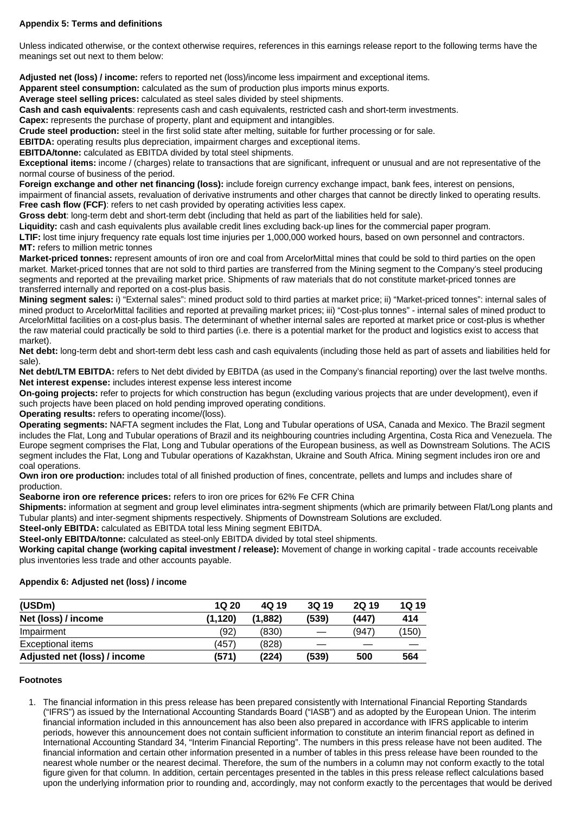# **Appendix 5: Terms and definitions**

Unless indicated otherwise, or the context otherwise requires, references in this earnings release report to the following terms have the meanings set out next to them below:

**Adjusted net (loss) / income:** refers to reported net (loss)/income less impairment and exceptional items.

**Apparent steel consumption:** calculated as the sum of production plus imports minus exports.

**Average steel selling prices:** calculated as steel sales divided by steel shipments.

**Cash and cash equivalents**: represents cash and cash equivalents, restricted cash and short-term investments.

**Capex:** represents the purchase of property, plant and equipment and intangibles.

**Crude steel production:** steel in the first solid state after melting, suitable for further processing or for sale.

**EBITDA:** operating results plus depreciation, impairment charges and exceptional items.

**EBITDA/tonne:** calculated as EBITDA divided by total steel shipments.

**Exceptional items:** income / (charges) relate to transactions that are significant, infrequent or unusual and are not representative of the normal course of business of the period.

**Foreign exchange and other net financing (loss):** include foreign currency exchange impact, bank fees, interest on pensions, impairment of financial assets, revaluation of derivative instruments and other charges that cannot be directly linked to operating results. Free cash flow (FCF): refers to net cash provided by operating activities less capex.

**Gross debt**: long-term debt and short-term debt (including that held as part of the liabilities held for sale).

**Liquidity:** cash and cash equivalents plus available credit lines excluding back-up lines for the commercial paper program.

**LTIF:** lost time injury frequency rate equals lost time injuries per 1,000,000 worked hours, based on own personnel and contractors. **MT:** refers to million metric tonnes

**Market-priced tonnes:** represent amounts of iron ore and coal from ArcelorMittal mines that could be sold to third parties on the open market. Market-priced tonnes that are not sold to third parties are transferred from the Mining segment to the Company's steel producing segments and reported at the prevailing market price. Shipments of raw materials that do not constitute market-priced tonnes are transferred internally and reported on a cost-plus basis.

**Mining segment sales:** i) "External sales": mined product sold to third parties at market price; ii) "Market-priced tonnes": internal sales of mined product to ArcelorMittal facilities and reported at prevailing market prices; iii) "Cost-plus tonnes" - internal sales of mined product to ArcelorMittal facilities on a cost-plus basis. The determinant of whether internal sales are reported at market price or cost-plus is whether the raw material could practically be sold to third parties (i.e. there is a potential market for the product and logistics exist to access that market).

**Net debt:** long-term debt and short-term debt less cash and cash equivalents (including those held as part of assets and liabilities held for sale).

**Net debt/LTM EBITDA:** refers to Net debt divided by EBITDA (as used in the Company's financial reporting) over the last twelve months. **Net interest expense:** includes interest expense less interest income

**On-going projects:** refer to projects for which construction has begun (excluding various projects that are under development), even if such projects have been placed on hold pending improved operating conditions.

**Operating results:** refers to operating income/(loss).

**Operating segments:** NAFTA segment includes the Flat, Long and Tubular operations of USA, Canada and Mexico. The Brazil segment includes the Flat, Long and Tubular operations of Brazil and its neighbouring countries including Argentina, Costa Rica and Venezuela. The Europe segment comprises the Flat, Long and Tubular operations of the European business, as well as Downstream Solutions. The ACIS segment includes the Flat, Long and Tubular operations of Kazakhstan, Ukraine and South Africa. Mining segment includes iron ore and coal operations.

**Own iron ore production:** includes total of all finished production of fines, concentrate, pellets and lumps and includes share of production.

**Seaborne iron ore reference prices:** refers to iron ore prices for 62% Fe CFR China

**Shipments:** information at segment and group level eliminates intra-segment shipments (which are primarily between Flat/Long plants and Tubular plants) and inter-segment shipments respectively. Shipments of Downstream Solutions are excluded.

**Steel-only EBITDA:** calculated as EBITDA total less Mining segment EBITDA.

**Steel-only EBITDA/tonne:** calculated as steel-only EBITDA divided by total steel shipments.

**Working capital change (working capital investment / release):** Movement of change in working capital - trade accounts receivable plus inventories less trade and other accounts payable.

# **Appendix 6: Adjusted net (loss) / income**

| (USDm)                       | 1Q 20    | 4Q 19   | <b>3Q19</b> | <b>2Q 19</b> | <b>1Q19</b> |
|------------------------------|----------|---------|-------------|--------------|-------------|
| Net (loss) / income          | (1, 120) | (1,882) | (539)       | (447)        | 414         |
| Impairment                   | (92)     | (830)   |             | (947)        | (150)       |
| Exceptional items            | (457)    | (828)   |             |              |             |
| Adjusted net (loss) / income | (571)    | (224)   | (539)       | 500          | 564         |

# **Footnotes**

1. The financial information in this press release has been prepared consistently with International Financial Reporting Standards ("IFRS") as issued by the International Accounting Standards Board ("IASB") and as adopted by the European Union. The interim financial information included in this announcement has also been also prepared in accordance with IFRS applicable to interim periods, however this announcement does not contain sufficient information to constitute an interim financial report as defined in International Accounting Standard 34, "Interim Financial Reporting". The numbers in this press release have not been audited. The financial information and certain other information presented in a number of tables in this press release have been rounded to the nearest whole number or the nearest decimal. Therefore, the sum of the numbers in a column may not conform exactly to the total figure given for that column. In addition, certain percentages presented in the tables in this press release reflect calculations based upon the underlying information prior to rounding and, accordingly, may not conform exactly to the percentages that would be derived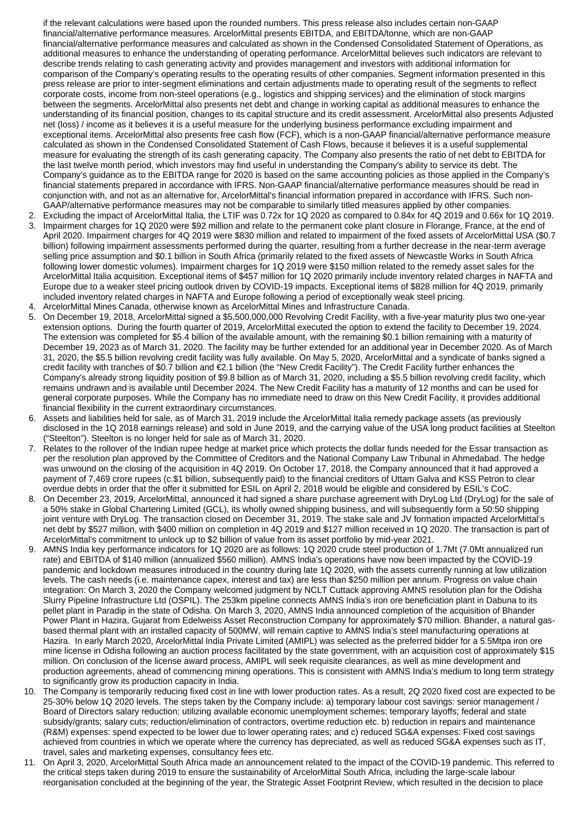if the relevant calculations were based upon the rounded numbers. This press release also includes certain non-GAAP financial/alternative performance measures. ArcelorMittal presents EBITDA, and EBITDA/tonne, which are non-GAAP financial/alternative performance measures and calculated as shown in the Condensed Consolidated Statement of Operations, as additional measures to enhance the understanding of operating performance. ArcelorMittal believes such indicators are relevant to describe trends relating to cash generating activity and provides management and investors with additional information for comparison of the Company's operating results to the operating results of other companies. Segment information presented in this press release are prior to inter-segment eliminations and certain adjustments made to operating result of the segments to reflect corporate costs, income from non-steel operations (e.g., logistics and shipping services) and the elimination of stock margins between the segments. ArcelorMittal also presents net debt and change in working capital as additional measures to enhance the understanding of its financial position, changes to its capital structure and its credit assessment. ArcelorMittal also presents Adjusted net (loss) / income as it believes it is a useful measure for the underlying business performance excluding impairment and exceptional items. ArcelorMittal also presents free cash flow (FCF), which is a non-GAAP financial/alternative performance measure calculated as shown in the Condensed Consolidated Statement of Cash Flows, because it believes it is a useful supplemental measure for evaluating the strength of its cash generating capacity. The Company also presents the ratio of net debt to EBITDA for the last twelve month period, which investors may find useful in understanding the Company's ability to service its debt. The Company's guidance as to the EBITDA range for 2020 is based on the same accounting policies as those applied in the Company's financial statements prepared in accordance with IFRS. Non-GAAP financial/alternative performance measures should be read in conjunction with, and not as an alternative for, ArcelorMittal's financial information prepared in accordance with IFRS. Such non-GAAP/alternative performance measures may not be comparable to similarly titled measures applied by other companies.

- 2. Excluding the impact of ArcelorMittal Italia, the LTIF was 0.72x for 1Q 2020 as compared to 0.84x for 4Q 2019 and 0.66x for 1Q 2019. 3. Impairment charges for 1Q 2020 were \$92 million and relate to the permanent coke plant closure in Florange, France, at the end of April 2020. Impairment charges for 4Q 2019 were \$830 million and related to impairment of the fixed assets of ArcelorMittal USA (\$0.7 billion) following impairment assessments performed during the quarter, resulting from a further decrease in the near-term average selling price assumption and \$0.1 billion in South Africa (primarily related to the fixed assets of Newcastle Works in South Africa following lower domestic volumes). Impairment charges for 1Q 2019 were \$150 million related to the remedy asset sales for the ArcelorMittal Italia acquisition. Exceptional items of \$457 million for 1Q 2020 primarily include inventory related charges in NAFTA and Europe due to a weaker steel pricing outlook driven by COVID-19 impacts. Exceptional items of \$828 million for 4Q 2019, primarily included inventory related charges in NAFTA and Europe following a period of exceptionally weak steel pricing.
- 4. ArcelorMittal Mines Canada, otherwise known as ArcelorMittal Mines and Infrastructure Canada.
- 5. On December 19, 2018, ArcelorMittal signed a \$5,500,000,000 Revolving Credit Facility, with a five-year maturity plus two one-year extension options. During the fourth quarter of 2019, ArcelorMittal executed the option to extend the facility to December 19, 2024. The extension was completed for \$5.4 billion of the available amount, with the remaining \$0.1 billion remaining with a maturity of December 19, 2023 as of March 31, 2020. The facility may be further extended for an additional year in December 2020. As of March 31, 2020, the \$5.5 billion revolving credit facility was fully available. On May 5, 2020, ArcelorMittal and a syndicate of banks signed a credit facility with tranches of \$0.7 billion and €2.1 billion (the "New Credit Facility"). The Credit Facility further enhances the Company's already strong liquidity position of \$9.8 billion as of March 31, 2020, including a \$5.5 billion revolving credit facility, which remains undrawn and is available until December 2024. The New Credit Facility has a maturity of 12 months and can be used for general corporate purposes. While the Company has no immediate need to draw on this New Credit Facility, it provides additional financial flexibility in the current extraordinary circumstances.
- 6. Assets and liabilities held for sale, as of March 31, 2019 include the ArcelorMittal Italia remedy package assets (as previously disclosed in the 1Q 2018 earnings release) and sold in June 2019, and the carrying value of the USA long product facilities at Steelton ("Steelton"). Steelton is no longer held for sale as of March 31, 2020.
- 7. Relates to the rollover of the Indian rupee hedge at market price which protects the dollar funds needed for the Essar transaction as per the resolution plan approved by the Committee of Creditors and the National Company Law Tribunal in Ahmedabad. The hedge was unwound on the closing of the acquisition in 4Q 2019. On October 17, 2018, the Company announced that it had approved a payment of 7,469 crore rupees (c.\$1 billion, subsequently paid) to the financial creditors of Uttam Galva and KSS Petron to clear overdue debts in order that the offer it submitted for ESIL on April 2, 2018 would be eligible and considered by ESIL's CoC.
- 8. On December 23, 2019, ArcelorMittal, announced it had signed a share purchase agreement with DryLog Ltd (DryLog) for the sale of a 50% stake in Global Chartering Limited (GCL), its wholly owned shipping business, and will subsequently form a 50:50 shipping joint venture with DryLog. The transaction closed on December 31, 2019. The stake sale and JV formation impacted ArcelorMittal's net debt by \$527 million, with \$400 million on completion in 4Q 2019 and \$127 million received in 1Q 2020. The transaction is part of ArcelorMittal's commitment to unlock up to \$2 billion of value from its asset portfolio by mid-year 2021.
- 9. AMNS India key performance indicators for 1Q 2020 are as follows: 1Q 2020 crude steel production of 1.7Mt (7.0Mt annualized run rate) and EBITDA of \$140 million (annualized \$560 million). AMNS India's operations have now been impacted by the COVID-19 pandemic and lockdown measures introduced in the country during late 1Q 2020, with the assets currently running at low utilization levels. The cash needs (i.e. maintenance capex, interest and tax) are less than \$250 million per annum. Progress on value chain integration: On March 3, 2020 the Company welcomed judgment by NCLT Cuttack approving AMNS resolution plan for the Odisha Slurry Pipeline Infrastructure Ltd (OSPIL). The 253km pipeline connects AMNS India's iron ore beneficiation plant in Dabuna to its pellet plant in Paradip in the state of Odisha. On March 3, 2020, AMNS India announced completion of the acquisition of Bhander Power Plant in Hazira, Gujarat from Edelweiss Asset Reconstruction Company for approximately \$70 million. Bhander, a natural gasbased thermal plant with an installed capacity of 500MW, will remain captive to AMNS India's steel manufacturing operations at Hazira. In early March 2020, ArcelorMittal India Private Limited (AMIPL) was selected as the preferred bidder for a 5.5Mtpa iron ore mine license in Odisha following an auction process facilitated by the state government, with an acquisition cost of approximately \$15 million. On conclusion of the license award process, AMIPL will seek requisite clearances, as well as mine development and production agreements, ahead of commencing mining operations. This is consistent with AMNS India's medium to long term strategy to significantly grow its production capacity in India.
- 10. The Company is temporarily reducing fixed cost in line with lower production rates. As a result, 2Q 2020 fixed cost are expected to be 25-30% below 1Q 2020 levels. The steps taken by the Company include: a) temporary labour cost savings: senior management / Board of Directors salary reduction; utilizing available economic unemployment schemes; temporary layoffs; federal and state subsidy/grants; salary cuts; reduction/elimination of contractors, overtime reduction etc. b) reduction in repairs and maintenance (R&M) expenses: spend expected to be lower due to lower operating rates; and c) reduced SG&A expenses: Fixed cost savings achieved from countries in which we operate where the currency has depreciated, as well as reduced SG&A expenses such as IT, travel, sales and marketing expenses, consultancy fees etc.
- 11. On April 3, 2020, ArcelorMittal South Africa made an announcement related to the impact of the COVID-19 pandemic. This referred to the critical steps taken during 2019 to ensure the sustainability of ArcelorMittal South Africa, including the large-scale labour reorganisation concluded at the beginning of the year, the Strategic Asset Footprint Review, which resulted in the decision to place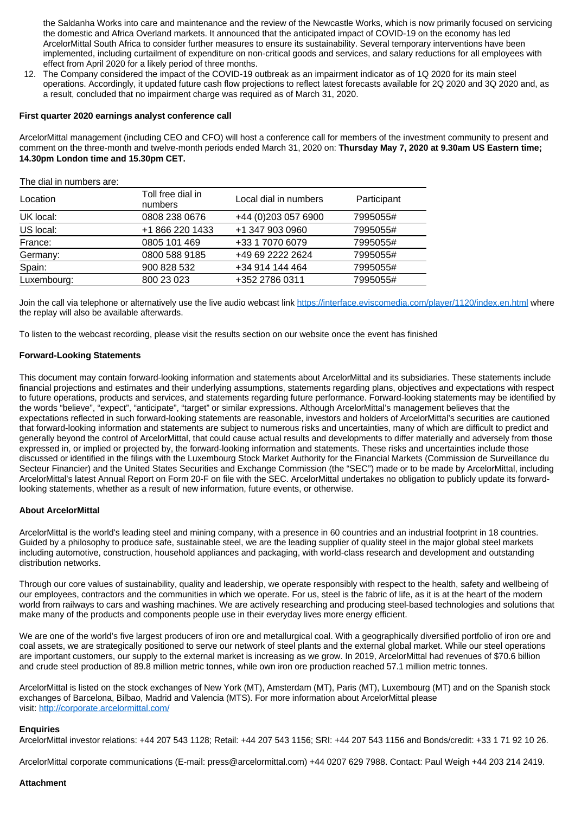the Saldanha Works into care and maintenance and the review of the Newcastle Works, which is now primarily focused on servicing the domestic and Africa Overland markets. It announced that the anticipated impact of COVID-19 on the economy has led ArcelorMittal South Africa to consider further measures to ensure its sustainability. Several temporary interventions have been implemented, including curtailment of expenditure on non-critical goods and services, and salary reductions for all employees with effect from April 2020 for a likely period of three months.

12. The Company considered the impact of the COVID-19 outbreak as an impairment indicator as of 1Q 2020 for its main steel operations. Accordingly, it updated future cash flow projections to reflect latest forecasts available for 2Q 2020 and 3Q 2020 and, as a result, concluded that no impairment charge was required as of March 31, 2020.

#### **First quarter 2020 earnings analyst conference call**

ArcelorMittal management (including CEO and CFO) will host a conference call for members of the investment community to present and comment on the three-month and twelve-month periods ended March 31, 2020 on: **Thursday May 7, 2020 at 9.30am US Eastern time; 14.30pm London time and 15.30pm CET.**

| <u>THE GIALITION INCIS AIC.</u> |                              |                       |             |
|---------------------------------|------------------------------|-----------------------|-------------|
| Location                        | Toll free dial in<br>numbers | Local dial in numbers | Participant |
| UK local:                       | 0808 238 0676                | +44 (0) 203 057 6900  | 7995055#    |
| US local:                       | +1 866 220 1433              | +1 347 903 0960       | 7995055#    |
| France:                         | 0805 101 469                 | +33 1 7070 6079       | 7995055#    |
| Germany:                        | 0800 588 9185                | +49 69 2222 2624      | 7995055#    |
| Spain:                          | 900 828 532                  | +34 914 144 464       | 7995055#    |
| Luxembourg:                     | 800 23 023                   | +352 2786 0311        | 7995055#    |
|                                 |                              |                       |             |

Join the call via telephone or alternatively use the live audio webcast link<https://interface.eviscomedia.com/player/1120/index.en.html>where the replay will also be available afterwards.

To listen to the webcast recording, please visit the results section on our website once the event has finished

# **Forward-Looking Statements**

The dial in numbers are:

This document may contain forward-looking information and statements about ArcelorMittal and its subsidiaries. These statements include financial projections and estimates and their underlying assumptions, statements regarding plans, objectives and expectations with respect to future operations, products and services, and statements regarding future performance. Forward-looking statements may be identified by the words "believe", "expect", "anticipate", "target" or similar expressions. Although ArcelorMittal's management believes that the expectations reflected in such forward-looking statements are reasonable, investors and holders of ArcelorMittal's securities are cautioned that forward-looking information and statements are subject to numerous risks and uncertainties, many of which are difficult to predict and generally beyond the control of ArcelorMittal, that could cause actual results and developments to differ materially and adversely from those expressed in, or implied or projected by, the forward-looking information and statements. These risks and uncertainties include those discussed or identified in the filings with the Luxembourg Stock Market Authority for the Financial Markets (Commission de Surveillance du Secteur Financier) and the United States Securities and Exchange Commission (the "SEC") made or to be made by ArcelorMittal, including ArcelorMittal's latest Annual Report on Form 20-F on file with the SEC. ArcelorMittal undertakes no obligation to publicly update its forwardlooking statements, whether as a result of new information, future events, or otherwise.

# **About ArcelorMittal**

ArcelorMittal is the world's leading steel and mining company, with a presence in 60 countries and an industrial footprint in 18 countries. Guided by a philosophy to produce safe, sustainable steel, we are the leading supplier of quality steel in the major global steel markets including automotive, construction, household appliances and packaging, with world-class research and development and outstanding distribution networks.

Through our core values of sustainability, quality and leadership, we operate responsibly with respect to the health, safety and wellbeing of our employees, contractors and the communities in which we operate. For us, steel is the fabric of life, as it is at the heart of the modern world from railways to cars and washing machines. We are actively researching and producing steel-based technologies and solutions that make many of the products and components people use in their everyday lives more energy efficient.

We are one of the world's five largest producers of iron ore and metallurgical coal. With a geographically diversified portfolio of iron ore and coal assets, we are strategically positioned to serve our network of steel plants and the external global market. While our steel operations are important customers, our supply to the external market is increasing as we grow. In 2019, ArcelorMittal had revenues of \$70.6 billion and crude steel production of 89.8 million metric tonnes, while own iron ore production reached 57.1 million metric tonnes.

ArcelorMittal is listed on the stock exchanges of New York (MT), Amsterdam (MT), Paris (MT), Luxembourg (MT) and on the Spanish stock exchanges of Barcelona, Bilbao, Madrid and Valencia (MTS). For more information about ArcelorMittal please visit:<http://corporate.arcelormittal.com/>

# **Enquiries**

ArcelorMittal investor relations: +44 207 543 1128; Retail: +44 207 543 1156; SRI: +44 207 543 1156 and Bonds/credit: +33 1 71 92 10 26.

ArcelorMittal corporate communications (E-mail: press@arcelormittal.com) +44 0207 629 7988. Contact: Paul Weigh +44 203 214 2419.

### **Attachment**